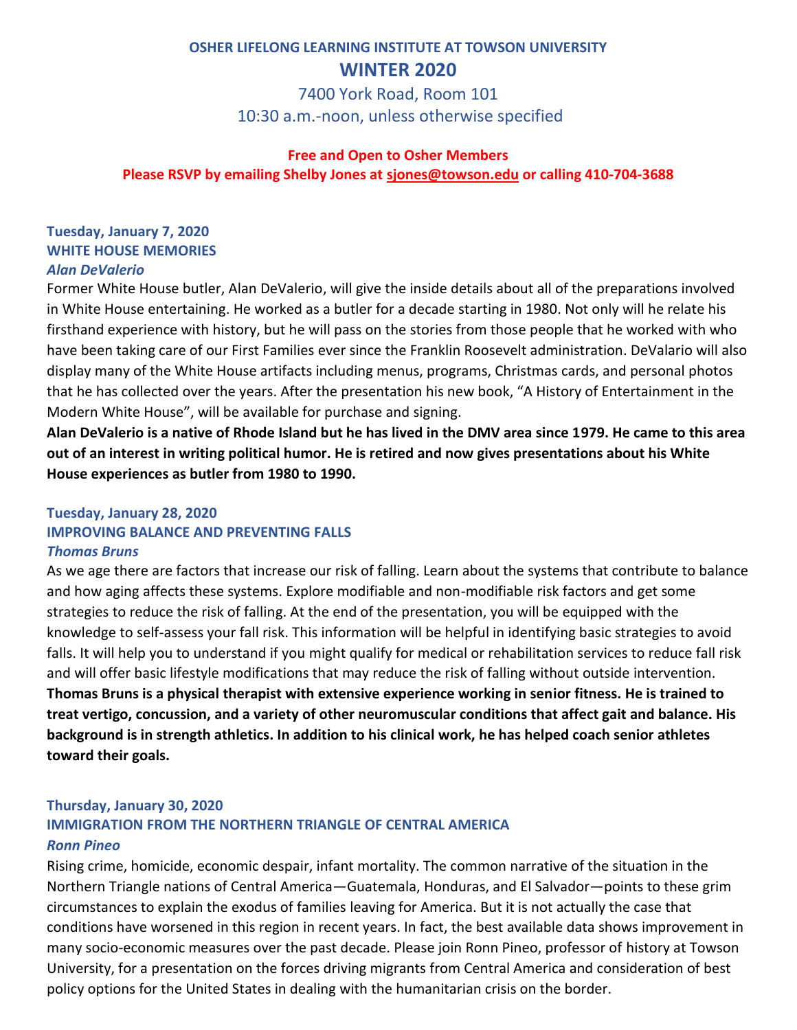# **OSHER LIFELONG LEARNING INSTITUTE AT TOWSON UNIVERSITY WINTER 2020**

7400 York Road, Room 101 10:30 a.m.-noon, unless otherwise specified

#### **Free and Open to Osher Members**

**Please RSVP by emailing Shelby Jones at [sjones@towson.edu](mailto:sjones@towson.edu) or calling 410-704-3688**

#### **Tuesday, January 7, 2020 WHITE HOUSE MEMORIES** *Alan DeValerio*

Former White House butler, Alan DeValerio, will give the inside details about all of the preparations involved in White House entertaining. He worked as a butler for a decade starting in 1980. Not only will he relate his firsthand experience with history, but he will pass on the stories from those people that he worked with who have been taking care of our First Families ever since the Franklin Roosevelt administration. DeValario will also display many of the White House artifacts including menus, programs, Christmas cards, and personal photos that he has collected over the years. After the presentation his new book, "A History of Entertainment in the Modern White House", will be available for purchase and signing.

**Alan DeValerio is a native of Rhode Island but he has lived in the DMV area since 1979. He came to this area out of an interest in writing political humor. He is retired and now gives presentations about his White House experiences as butler from 1980 to 1990.**

#### **Tuesday, January 28, 2020 IMPROVING BALANCE AND PREVENTING FALLS** *Thomas Bruns*

As we age there are factors that increase our risk of falling. Learn about the systems that contribute to balance and how aging affects these systems. Explore modifiable and non-modifiable risk factors and get some strategies to reduce the risk of falling. At the end of the presentation, you will be equipped with the knowledge to self-assess your fall risk. This information will be helpful in identifying basic strategies to avoid falls. It will help you to understand if you might qualify for medical or rehabilitation services to reduce fall risk and will offer basic lifestyle modifications that may reduce the risk of falling without outside intervention. **Thomas Bruns is a physical therapist with extensive experience working in senior fitness. He is trained to treat vertigo, concussion, and a variety of other neuromuscular conditions that affect gait and balance. His background is in strength athletics. In addition to his clinical work, he has helped coach senior athletes toward their goals.** 

# **Thursday, January 30, 2020 IMMIGRATION FROM THE NORTHERN TRIANGLE OF CENTRAL AMERICA** *Ronn Pineo*

Rising crime, homicide, economic despair, infant mortality. The common narrative of the situation in the Northern Triangle nations of Central America—Guatemala, Honduras, and El Salvador—points to these grim circumstances to explain the exodus of families leaving for America. But it is not actually the case that conditions have worsened in this region in recent years. In fact, the best available data shows improvement in many socio-economic measures over the past decade. Please join Ronn Pineo, professor of history at Towson University, for a presentation on the forces driving migrants from Central America and consideration of best policy options for the United States in dealing with the humanitarian crisis on the border.